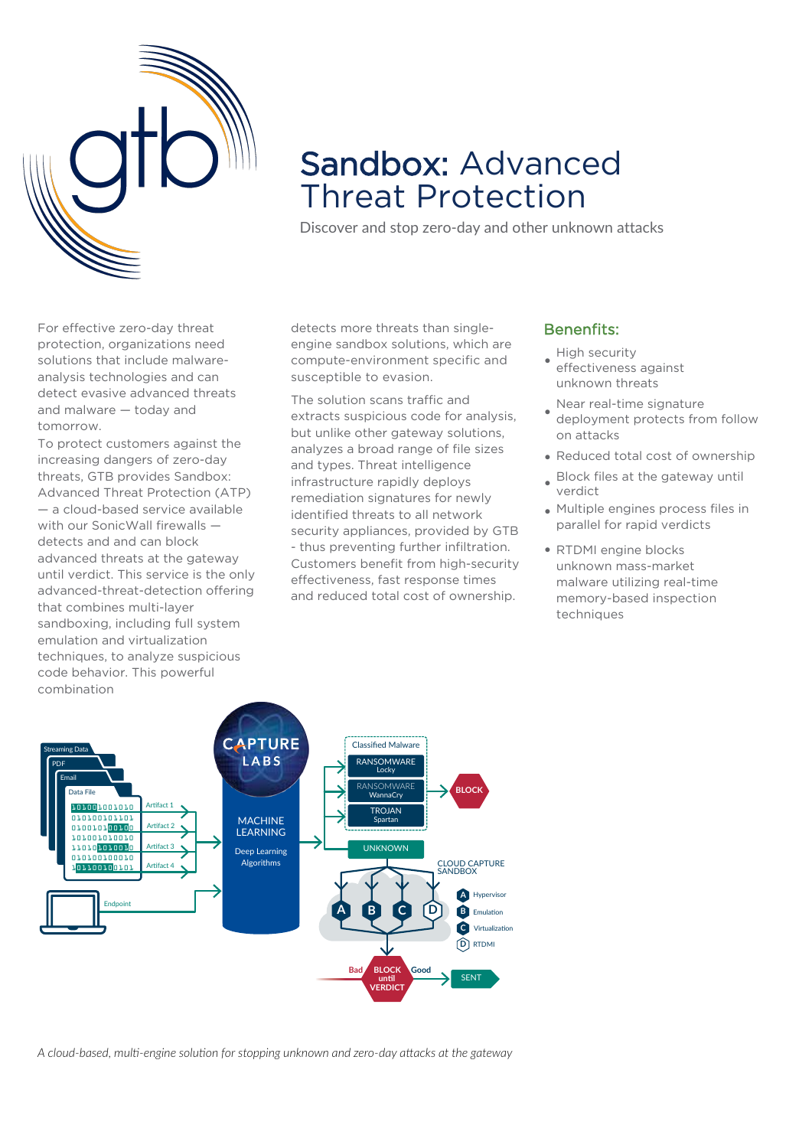

# Sandbox: Advanced Threat Protection

Discover and stop zero-day and other unknown attacks

For effective zero-day threat protection, organizations need solutions that include malwareanalysis technologies and can detect evasive advanced threats and malware — today and tomorrow.

To protect customers against the increasing dangers of zero-day threats, GTB provides Sandbox: Advanced Threat Protection (ATP) — a cloud-based service available with our SonicWall firewalls detects and and can block advanced threats at the gateway until verdict. This service is the only advanced-threat-detection offering that combines multi-layer sandboxing, including full system emulation and virtualization techniques, to analyze suspicious code behavior. This powerful combination

detects more threats than singleengine sandbox solutions, which are compute-environment specific and susceptible to evasion.

The solution scans traffic and extracts suspicious code for analysis, but unlike other gateway solutions, analyzes a broad range of file sizes and types. Threat intelligence infrastructure rapidly deploys remediation signatures for newly identified threats to all network security appliances, provided by GTB - thus preventing further infiltration. Customers benefit from high-security effectiveness, fast response times and reduced total cost of ownership.

# Benenfits:

• High security

- effectiveness against unknown threats
- Near real-time signature deployment protects from follow on attacks
- Reduced total cost of ownership
- Block files at the gateway until verdict
- Multiple engines process files in parallel for rapid verdicts
- RTDMI engine blocks unknown mass-market malware utilizing real-time memory-based inspection techniques



*A cloud-based, multi-engine solution for stopping unknown and zero-day attacks at the gateway*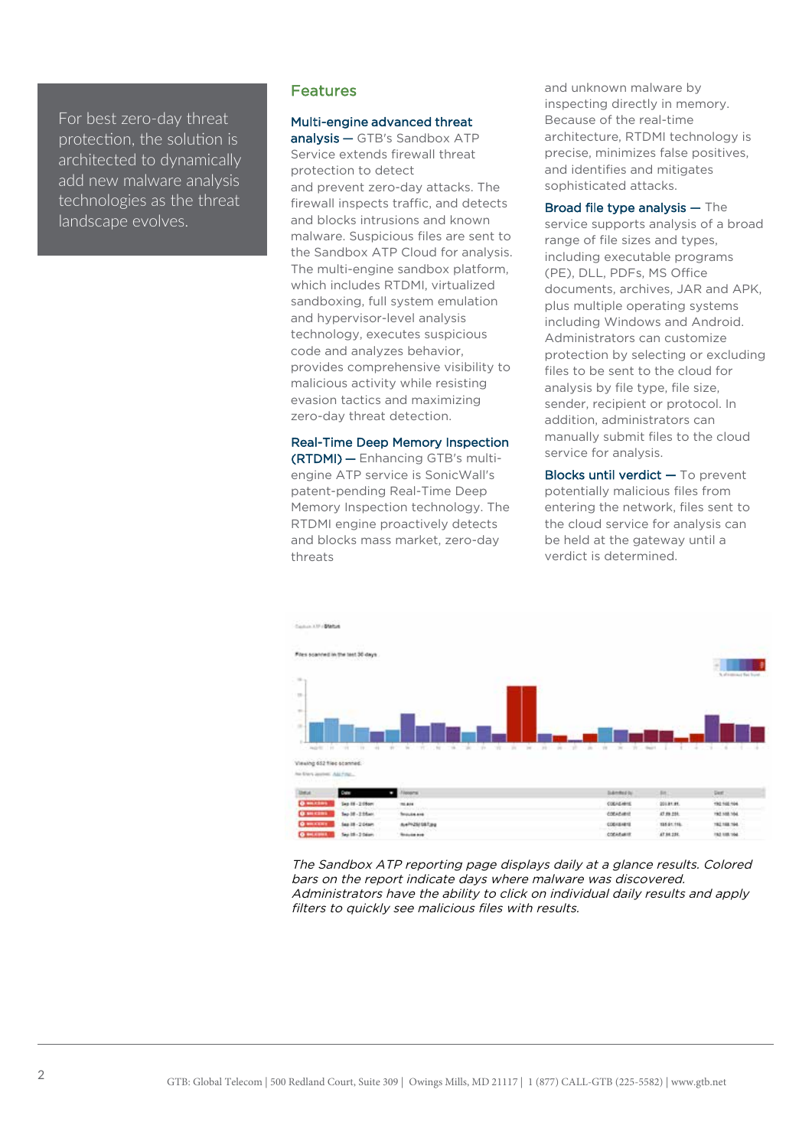For best zero-day threat protection, the solution is architected to dynamically add new malware analysis technologies as the threat landscape evolves.

# Features

#### Multi-engine advanced threat

analysis — GTB's Sandbox ATP Service extends firewall threat protection to detect and prevent zero-day attacks. The firewall inspects traffic, and detects and blocks intrusions and known malware. Suspicious files are sent to the Sandbox ATP Cloud for analysis. The multi-engine sandbox platform, which includes RTDMI, virtualized sandboxing, full system emulation and hypervisor-level analysis technology, executes suspicious code and analyzes behavior, provides comprehensive visibility to malicious activity while resisting evasion tactics and maximizing zero-day threat detection.

Real-Time Deep Memory Inspection (RTDMI) — Enhancing GTB's multiengine ATP service is SonicWall's patent-pending Real-Time Deep Memory Inspection technology. The RTDMI engine proactively detects and blocks mass market, zero-day threats

and unknown malware by inspecting directly in memory. Because of the real-time architecture, RTDMI technology is precise, minimizes false positives, and identifies and mitigates sophisticated attacks.

Broad file type analysis — The service supports analysis of a broad range of file sizes and types, including executable programs (PE), DLL, PDFs, MS Office documents, archives, JAR and APK, plus multiple operating systems including Windows and Android. Administrators can customize protection by selecting or excluding files to be sent to the cloud for analysis by file type, file size, sender, recipient or protocol. In addition, administrators can manually submit files to the cloud service for analysis.

Blocks until verdict — To prevent potentially malicious files from entering the network, files sent to the cloud service for analysis can be held at the gateway until a verdict is determined.



The Sandbox ATP reporting page displays daily at a glance results. Colored bars on the report indicate days where malware was discovered. Administrators have the ability to click on individual daily results and apply filters to quickly see malicious files with results.